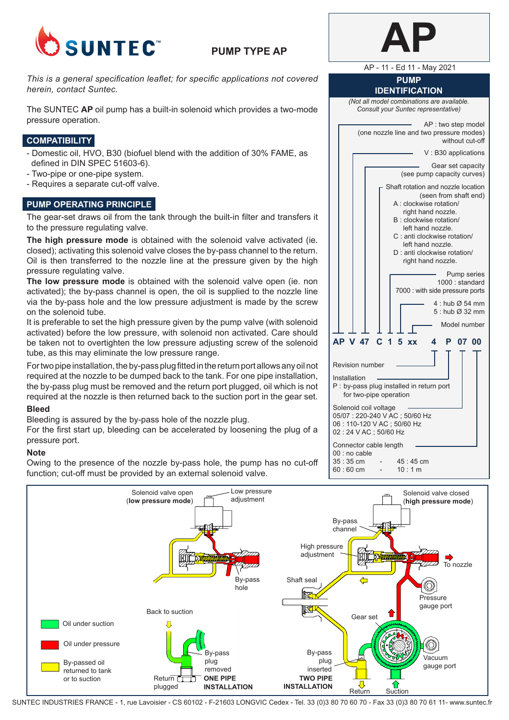

# **PUMP TYPE AP**

*This is a general specification leaflet; for specific applications not covered herein, contact Suntec.*

The SUNTEC **AP** oil pump has a built-in solenoid which provides a two-mode pressure operation.

## **COMPATIBILITY**

- Domestic oil, HVO, B30 (biofuel blend with the addition of 30% FAME, as defined in DIN SPEC 51603-6).
- Two-pipe or one-pipe system.
- Requires a separate cut-off valve.

## **PUMP OPERATING PRINCIPLE**

The gear-set draws oil from the tank through the built-in filter and transfers it to the pressure regulating valve.

**The high pressure mode** is obtained with the solenoid valve activated (ie. closed); activating this solenoid valve closes the by-pass channel to the return. Oil is then transferred to the nozzle line at the pressure given by the high pressure regulating valve.

**The low pressure mode** is obtained with the solenoid valve open (ie. non activated); the by-pass channel is open, the oil is supplied to the nozzle line via the by-pass hole and the low pressure adjustment is made by the screw on the solenoid tube.

It is preferable to set the high pressure given by the pump valve (with solenoid activated) before the low pressure, with solenoid non activated. Care should be taken not to overtighten the low pressure adjusting screw of the solenoid tube, as this may eliminate the low pressure range.

For two pipe installation, the by-pass plug fitted in the return port allows any oil not required at the nozzle to be dumped back to the tank. For one pipe installation, the by-pass plug must be removed and the return port plugged, oil which is not required at the nozzle is then returned back to the suction port in the gear set.

## **Bleed**

Bleeding is assured by the by-pass hole of the nozzle plug.

For the first start up, bleeding can be accelerated by loosening the plug of a pressure port.

## **Note**

Owing to the presence of the nozzle by-pass hole, the pump has no cut-off function; cut-off must be provided by an external solenoid valve.

AP - 11 - Ed 11 - May 2021

#### **PUMP IDENTIFICATION**

*(Not all model combinations are available. Consult your Suntec representative)*

AP : two step model (one nozzle line and two pressure modes) without cut-off V : B30 applications Gear set capacity (see pump capacity curves) Shaft rotation and nozzle location (seen from shaft end) A : clockwise rotation/

- right hand nozzle. B : clockwise rotation/
- left hand nozzle. C : anti clockwise rotation/
- left hand nozzle.
- D : anti clockwise rotation/ right hand nozzle.

Pump series 1000 : standard 7000 : with side pressure ports  $4 \cdot$  hub  $\emptyset$  54 mm 5 : hub Ø 32 mm Model number **AP V 47 C 1 5 xx 4 P 07 00**



02 : 24 V AC ; 50/60 Hz Connector cable length  $00:$  no cable<br> $35:35 \text{ cm}$ 

| $35:35 \text{ cm}$ |   | 45:45cm |
|--------------------|---|---------|
| $60:60 \text{ cm}$ | - | 10:1 m  |



SUNTEC INDUSTRIES FRANCE - 1, rue Lavoisier - CS 60102 - F-21603 LONGVIC Cedex - Tel. 33 (0)3 80 70 60 70 - Fax 33 (0)3 80 70 61 11- www.suntec.fr